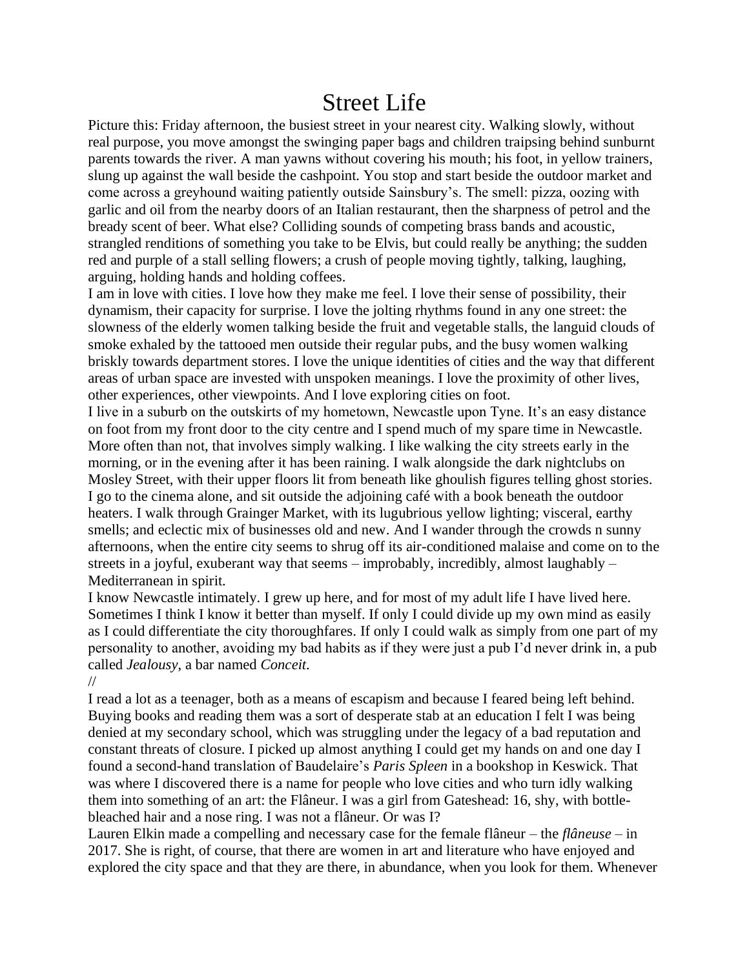## Street Life

Picture this: Friday afternoon, the busiest street in your nearest city. Walking slowly, without real purpose, you move amongst the swinging paper bags and children traipsing behind sunburnt parents towards the river. A man yawns without covering his mouth; his foot, in yellow trainers, slung up against the wall beside the cashpoint. You stop and start beside the outdoor market and come across a greyhound waiting patiently outside Sainsbury's. The smell: pizza, oozing with garlic and oil from the nearby doors of an Italian restaurant, then the sharpness of petrol and the bready scent of beer. What else? Colliding sounds of competing brass bands and acoustic, strangled renditions of something you take to be Elvis, but could really be anything; the sudden red and purple of a stall selling flowers; a crush of people moving tightly, talking, laughing, arguing, holding hands and holding coffees.

I am in love with cities. I love how they make me feel. I love their sense of possibility, their dynamism, their capacity for surprise. I love the jolting rhythms found in any one street: the slowness of the elderly women talking beside the fruit and vegetable stalls, the languid clouds of smoke exhaled by the tattooed men outside their regular pubs, and the busy women walking briskly towards department stores. I love the unique identities of cities and the way that different areas of urban space are invested with unspoken meanings. I love the proximity of other lives, other experiences, other viewpoints. And I love exploring cities on foot.

I live in a suburb on the outskirts of my hometown, Newcastle upon Tyne. It's an easy distance on foot from my front door to the city centre and I spend much of my spare time in Newcastle. More often than not, that involves simply walking. I like walking the city streets early in the morning, or in the evening after it has been raining. I walk alongside the dark nightclubs on Mosley Street, with their upper floors lit from beneath like ghoulish figures telling ghost stories. I go to the cinema alone, and sit outside the adjoining café with a book beneath the outdoor heaters. I walk through Grainger Market, with its lugubrious yellow lighting; visceral, earthy smells; and eclectic mix of businesses old and new. And I wander through the crowds n sunny afternoons, when the entire city seems to shrug off its air-conditioned malaise and come on to the streets in a joyful, exuberant way that seems – improbably, incredibly, almost laughably – Mediterranean in spirit.

I know Newcastle intimately. I grew up here, and for most of my adult life I have lived here. Sometimes I think I know it better than myself. If only I could divide up my own mind as easily as I could differentiate the city thoroughfares. If only I could walk as simply from one part of my personality to another, avoiding my bad habits as if they were just a pub I'd never drink in, a pub called *Jealousy*, a bar named *Conceit*.

//

I read a lot as a teenager, both as a means of escapism and because I feared being left behind. Buying books and reading them was a sort of desperate stab at an education I felt I was being denied at my secondary school, which was struggling under the legacy of a bad reputation and constant threats of closure. I picked up almost anything I could get my hands on and one day I found a second-hand translation of Baudelaire's *Paris Spleen* in a bookshop in Keswick. That was where I discovered there is a name for people who love cities and who turn idly walking them into something of an art: the Flâneur. I was a girl from Gateshead: 16, shy, with bottlebleached hair and a nose ring. I was not a flâneur. Or was I?

Lauren Elkin made a compelling and necessary case for the female flâneur – the *flâneuse* – in 2017. She is right, of course, that there are women in art and literature who have enjoyed and explored the city space and that they are there, in abundance, when you look for them. Whenever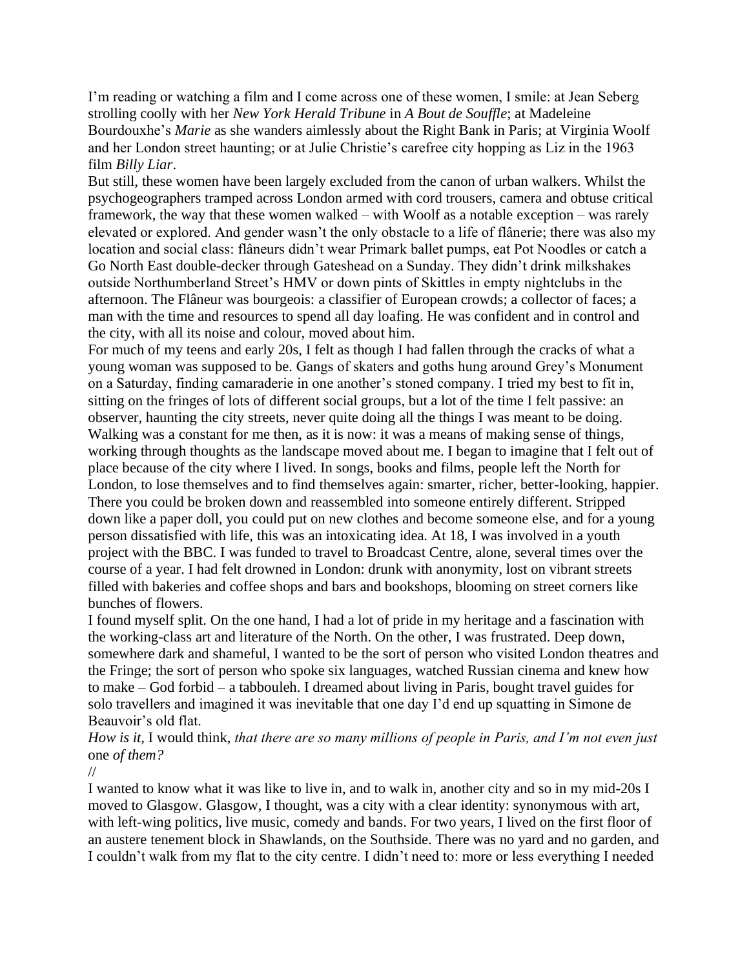I'm reading or watching a film and I come across one of these women, I smile: at Jean Seberg strolling coolly with her *New York Herald Tribune* in *A Bout de Souffle*; at Madeleine Bourdouxhe's *Marie* as she wanders aimlessly about the Right Bank in Paris; at Virginia Woolf and her London street haunting; or at Julie Christie's carefree city hopping as Liz in the 1963 film *Billy Liar*.

But still, these women have been largely excluded from the canon of urban walkers. Whilst the psychogeographers tramped across London armed with cord trousers, camera and obtuse critical framework, the way that these women walked – with Woolf as a notable exception – was rarely elevated or explored. And gender wasn't the only obstacle to a life of flânerie; there was also my location and social class: flâneurs didn't wear Primark ballet pumps, eat Pot Noodles or catch a Go North East double-decker through Gateshead on a Sunday. They didn't drink milkshakes outside Northumberland Street's HMV or down pints of Skittles in empty nightclubs in the afternoon. The Flâneur was bourgeois: a classifier of European crowds; a collector of faces; a man with the time and resources to spend all day loafing. He was confident and in control and the city, with all its noise and colour, moved about him.

For much of my teens and early 20s, I felt as though I had fallen through the cracks of what a young woman was supposed to be. Gangs of skaters and goths hung around Grey's Monument on a Saturday, finding camaraderie in one another's stoned company. I tried my best to fit in, sitting on the fringes of lots of different social groups, but a lot of the time I felt passive: an observer, haunting the city streets, never quite doing all the things I was meant to be doing. Walking was a constant for me then, as it is now: it was a means of making sense of things, working through thoughts as the landscape moved about me. I began to imagine that I felt out of place because of the city where I lived. In songs, books and films, people left the North for London, to lose themselves and to find themselves again: smarter, richer, better-looking, happier. There you could be broken down and reassembled into someone entirely different. Stripped down like a paper doll, you could put on new clothes and become someone else, and for a young person dissatisfied with life, this was an intoxicating idea. At 18, I was involved in a youth project with the BBC. I was funded to travel to Broadcast Centre, alone, several times over the course of a year. I had felt drowned in London: drunk with anonymity, lost on vibrant streets filled with bakeries and coffee shops and bars and bookshops, blooming on street corners like bunches of flowers.

I found myself split. On the one hand, I had a lot of pride in my heritage and a fascination with the working-class art and literature of the North. On the other, I was frustrated. Deep down, somewhere dark and shameful, I wanted to be the sort of person who visited London theatres and the Fringe; the sort of person who spoke six languages, watched Russian cinema and knew how to make – God forbid – a tabbouleh. I dreamed about living in Paris, bought travel guides for solo travellers and imagined it was inevitable that one day I'd end up squatting in Simone de Beauvoir's old flat.

*How is it,* I would think, *that there are so many millions of people in Paris, and I'm not even just*  one *of them?*

//

I wanted to know what it was like to live in, and to walk in, another city and so in my mid-20s I moved to Glasgow. Glasgow, I thought, was a city with a clear identity: synonymous with art, with left-wing politics, live music, comedy and bands. For two years, I lived on the first floor of an austere tenement block in Shawlands, on the Southside. There was no yard and no garden, and I couldn't walk from my flat to the city centre. I didn't need to: more or less everything I needed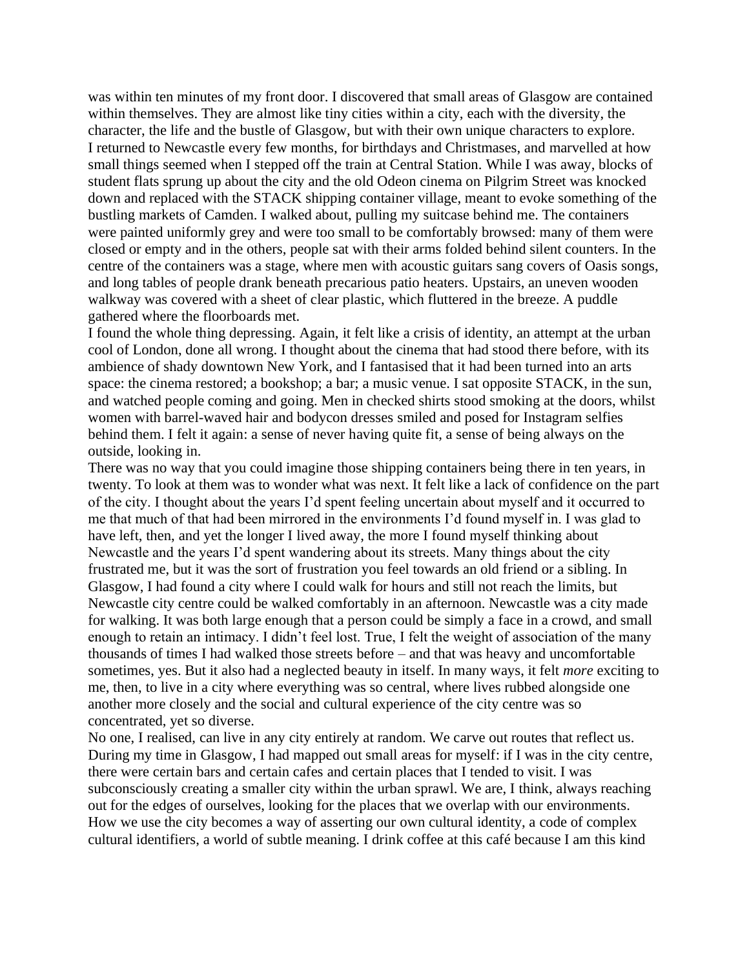was within ten minutes of my front door. I discovered that small areas of Glasgow are contained within themselves. They are almost like tiny cities within a city, each with the diversity, the character, the life and the bustle of Glasgow, but with their own unique characters to explore. I returned to Newcastle every few months, for birthdays and Christmases, and marvelled at how small things seemed when I stepped off the train at Central Station. While I was away, blocks of student flats sprung up about the city and the old Odeon cinema on Pilgrim Street was knocked down and replaced with the STACK shipping container village, meant to evoke something of the bustling markets of Camden. I walked about, pulling my suitcase behind me. The containers were painted uniformly grey and were too small to be comfortably browsed: many of them were closed or empty and in the others, people sat with their arms folded behind silent counters. In the centre of the containers was a stage, where men with acoustic guitars sang covers of Oasis songs, and long tables of people drank beneath precarious patio heaters. Upstairs, an uneven wooden walkway was covered with a sheet of clear plastic, which fluttered in the breeze. A puddle gathered where the floorboards met.

I found the whole thing depressing. Again, it felt like a crisis of identity, an attempt at the urban cool of London, done all wrong. I thought about the cinema that had stood there before, with its ambience of shady downtown New York, and I fantasised that it had been turned into an arts space: the cinema restored; a bookshop; a bar; a music venue. I sat opposite STACK, in the sun, and watched people coming and going. Men in checked shirts stood smoking at the doors, whilst women with barrel-waved hair and bodycon dresses smiled and posed for Instagram selfies behind them. I felt it again: a sense of never having quite fit, a sense of being always on the outside, looking in.

There was no way that you could imagine those shipping containers being there in ten years, in twenty. To look at them was to wonder what was next. It felt like a lack of confidence on the part of the city. I thought about the years I'd spent feeling uncertain about myself and it occurred to me that much of that had been mirrored in the environments I'd found myself in. I was glad to have left, then, and yet the longer I lived away, the more I found myself thinking about Newcastle and the years I'd spent wandering about its streets. Many things about the city frustrated me, but it was the sort of frustration you feel towards an old friend or a sibling. In Glasgow, I had found a city where I could walk for hours and still not reach the limits, but Newcastle city centre could be walked comfortably in an afternoon. Newcastle was a city made for walking. It was both large enough that a person could be simply a face in a crowd, and small enough to retain an intimacy. I didn't feel lost. True, I felt the weight of association of the many thousands of times I had walked those streets before – and that was heavy and uncomfortable sometimes, yes. But it also had a neglected beauty in itself. In many ways, it felt *more* exciting to me, then, to live in a city where everything was so central, where lives rubbed alongside one another more closely and the social and cultural experience of the city centre was so concentrated, yet so diverse.

No one, I realised, can live in any city entirely at random. We carve out routes that reflect us. During my time in Glasgow, I had mapped out small areas for myself: if I was in the city centre, there were certain bars and certain cafes and certain places that I tended to visit. I was subconsciously creating a smaller city within the urban sprawl. We are, I think, always reaching out for the edges of ourselves, looking for the places that we overlap with our environments. How we use the city becomes a way of asserting our own cultural identity, a code of complex cultural identifiers, a world of subtle meaning. I drink coffee at this café because I am this kind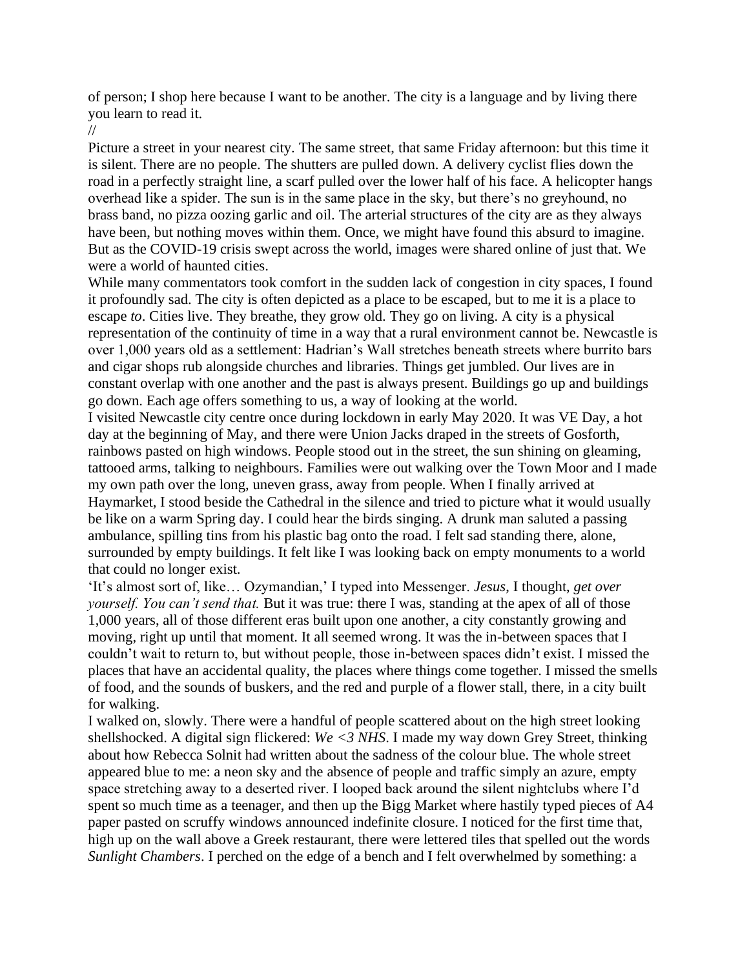of person; I shop here because I want to be another. The city is a language and by living there you learn to read it.

//

Picture a street in your nearest city. The same street, that same Friday afternoon: but this time it is silent. There are no people. The shutters are pulled down. A delivery cyclist flies down the road in a perfectly straight line, a scarf pulled over the lower half of his face. A helicopter hangs overhead like a spider. The sun is in the same place in the sky, but there's no greyhound, no brass band, no pizza oozing garlic and oil. The arterial structures of the city are as they always have been, but nothing moves within them. Once, we might have found this absurd to imagine. But as the COVID-19 crisis swept across the world, images were shared online of just that. We were a world of haunted cities.

While many commentators took comfort in the sudden lack of congestion in city spaces, I found it profoundly sad. The city is often depicted as a place to be escaped, but to me it is a place to escape *to*. Cities live. They breathe, they grow old. They go on living. A city is a physical representation of the continuity of time in a way that a rural environment cannot be. Newcastle is over 1,000 years old as a settlement: Hadrian's Wall stretches beneath streets where burrito bars and cigar shops rub alongside churches and libraries. Things get jumbled. Our lives are in constant overlap with one another and the past is always present. Buildings go up and buildings go down. Each age offers something to us, a way of looking at the world.

I visited Newcastle city centre once during lockdown in early May 2020. It was VE Day, a hot day at the beginning of May, and there were Union Jacks draped in the streets of Gosforth, rainbows pasted on high windows. People stood out in the street, the sun shining on gleaming, tattooed arms, talking to neighbours. Families were out walking over the Town Moor and I made my own path over the long, uneven grass, away from people. When I finally arrived at Haymarket, I stood beside the Cathedral in the silence and tried to picture what it would usually be like on a warm Spring day. I could hear the birds singing. A drunk man saluted a passing ambulance, spilling tins from his plastic bag onto the road. I felt sad standing there, alone, surrounded by empty buildings. It felt like I was looking back on empty monuments to a world that could no longer exist.

'It's almost sort of, like… Ozymandian,' I typed into Messenger. *Jesus*, I thought, *get over yourself. You can't send that.* But it was true: there I was, standing at the apex of all of those 1,000 years, all of those different eras built upon one another, a city constantly growing and moving, right up until that moment. It all seemed wrong. It was the in-between spaces that I couldn't wait to return to, but without people, those in-between spaces didn't exist. I missed the places that have an accidental quality, the places where things come together. I missed the smells of food, and the sounds of buskers, and the red and purple of a flower stall, there, in a city built for walking.

I walked on, slowly. There were a handful of people scattered about on the high street looking shellshocked. A digital sign flickered: *We <3 NHS*. I made my way down Grey Street, thinking about how Rebecca Solnit had written about the sadness of the colour blue. The whole street appeared blue to me: a neon sky and the absence of people and traffic simply an azure, empty space stretching away to a deserted river. I looped back around the silent nightclubs where I'd spent so much time as a teenager, and then up the Bigg Market where hastily typed pieces of A4 paper pasted on scruffy windows announced indefinite closure. I noticed for the first time that, high up on the wall above a Greek restaurant, there were lettered tiles that spelled out the words *Sunlight Chambers*. I perched on the edge of a bench and I felt overwhelmed by something: a